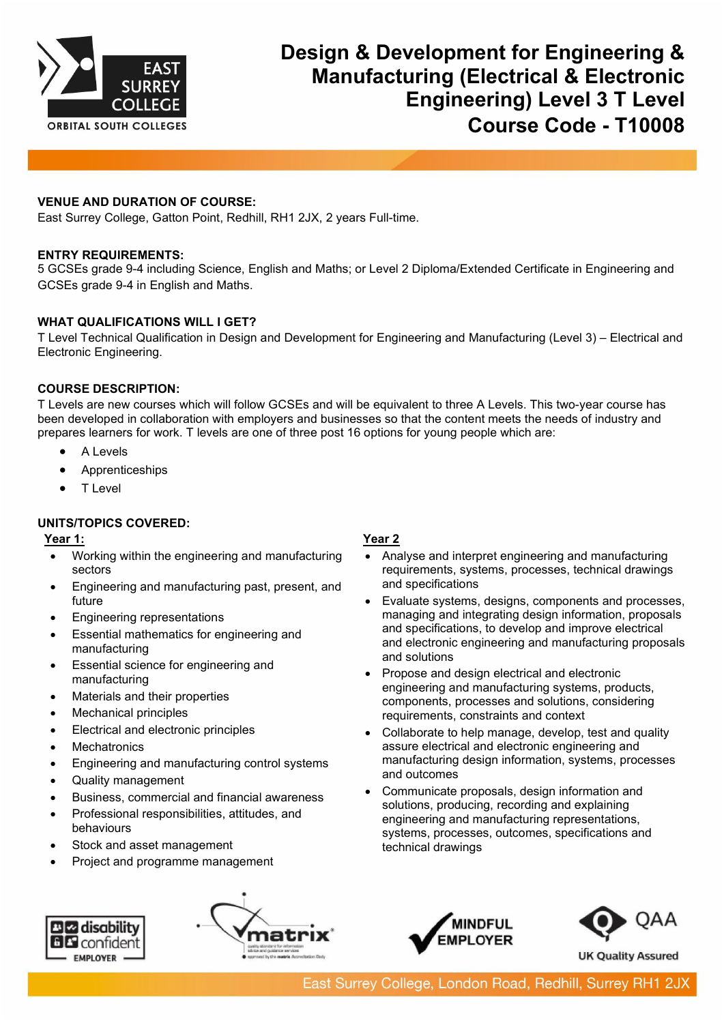

## **VENUE AND DURATION OF COURSE:**

East Surrey College, Gatton Point, Redhill, RH1 2JX, 2 years Full-time.

### **ENTRY REQUIREMENTS:**

5 GCSEs grade 9-4 including Science, English and Maths; or Level 2 Diploma/Extended Certificate in Engineering and GCSEs grade 9-4 in English and Maths.

## **WHAT QUALIFICATIONS WILL I GET?**

T Level Technical Qualification in Design and Development for Engineering and Manufacturing (Level 3) – Electrical and Electronic Engineering.

### **COURSE DESCRIPTION:**

T Levels are new courses which will follow GCSEs and will be equivalent to three A Levels. This two-year course has been developed in collaboration with employers and businesses so that the content meets the needs of industry and prepares learners for work. T levels are one of three post 16 options for young people which are:

- A Levels
- **Apprenticeships**
- T Level

## **UNITS/TOPICS COVERED:**

## **Year 1:**

- Working within the engineering and manufacturing sectors
- Engineering and manufacturing past, present, and future
- Engineering representations
- Essential mathematics for engineering and manufacturing
- Essential science for engineering and manufacturing
- Materials and their properties
- Mechanical principles
- Electrical and electronic principles
- **Mechatronics**
- Engineering and manufacturing control systems
- Quality management
- Business, commercial and financial awareness
- Professional responsibilities, attitudes, and behaviours
- Stock and asset management
- Project and programme management

# **ELE** disability **BL** confident **EMPLOYER**



## **Year 2**

- Analyse and interpret engineering and manufacturing requirements, systems, processes, technical drawings and specifications
- Evaluate systems, designs, components and processes, managing and integrating design information, proposals and specifications, to develop and improve electrical and electronic engineering and manufacturing proposals and solutions
- Propose and design electrical and electronic engineering and manufacturing systems, products, components, processes and solutions, considering requirements, constraints and context
- Collaborate to help manage, develop, test and quality assure electrical and electronic engineering and manufacturing design information, systems, processes and outcomes
- Communicate proposals, design information and solutions, producing, recording and explaining engineering and manufacturing representations, systems, processes, outcomes, specifications and technical drawings